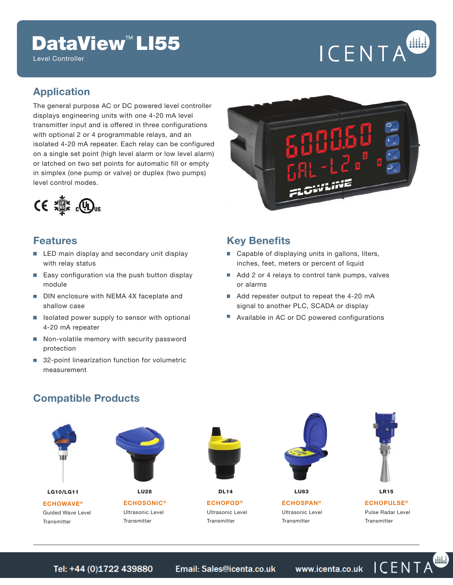# DataView<sup>™</sup> LI55

Level Controller

# ICENTA

ICENTA

### **Application**

The general purpose AC or DC powered level controller displays engineering units with one 4-20 mA level transmitter input and is offered in three configurations with optional 2 or 4 programmable relays, and an isolated 4-20 mA repeater. Each relay can be configured on a single set point (high level alarm or low level alarm) or latched on two set points for automatic fill or empty in simplex (one pump or valve) or duplex (two pumps) level control modes.



#### **Features**

- **LED** main display and secondary unit display with relay status
- Easy configuration via the push button display module
- DIN enclosure with NEMA 4X faceplate and shallow case
- Isolated power supply to sensor with optional 4-20 mA repeater
- Non-volatile memory with security password protection
- 32-point linearization function for volumetric measurement



#### **Key Benefits**

- Capable of displaying units in gallons, liters, inches, feet, meters or percent of liquid
- Add 2 or 4 relays to control tank pumps, valves or alarms
- Add repeater output to repeat the 4-20 mA signal to another PLC, SCADA or display
- П Available in AC or DC powered configurations

#### **Compatible Products**



Email: Sales@icenta.co.uk www.icenta.co.uk Tel: +44 (0)1722 439880